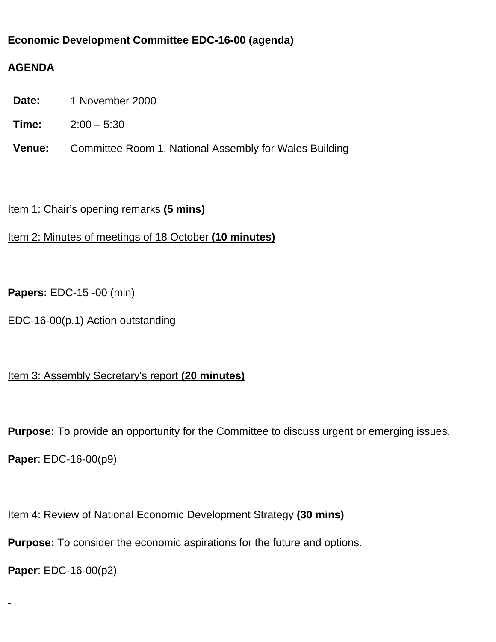## **Economic Development Committee EDC-16-00 (agenda)**

### **AGENDA**

- **Date:** 1 November 2000
- **Time:** 2:00 5:30
- **Venue:** Committee Room 1, National Assembly for Wales Building

#### Item 1: Chair's opening remarks **(5 mins)**

Item 2: Minutes of meetings of 18 October **(10 minutes)**

```
Papers: EDC-15 -00 (min)
```
EDC-16-00(p.1) Action outstanding

### Item 3: Assembly Secretary's report **(20 minutes)**

**Purpose:** To provide an opportunity for the Committee to discuss urgent or emerging issues.

**Paper**: EDC-16-00(p9)

### Item 4: Review of National Economic Development Strategy **(30 mins)**

**Purpose:** To consider the economic aspirations for the future and options.

**Paper**: EDC-16-00(p2)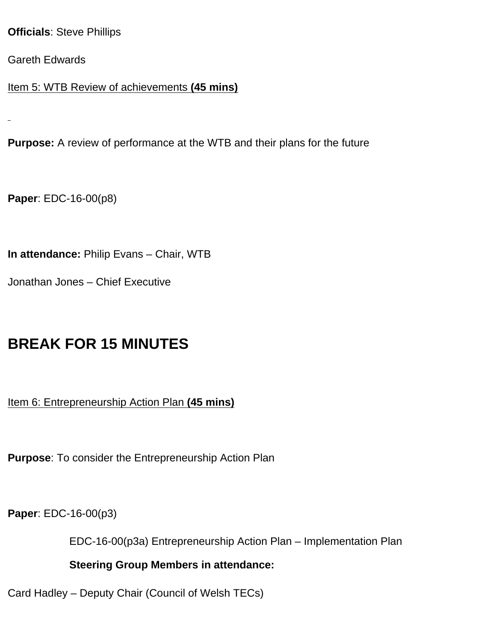#### **Officials**: Steve Phillips

Gareth Edwards

Item 5: WTB Review of achievements **(45 mins)**

**Purpose:** A review of performance at the WTB and their plans for the future

**Paper**: EDC-16-00(p8)

**In attendance:** Philip Evans – Chair, WTB

Jonathan Jones – Chief Executive

# **BREAK FOR 15 MINUTES**

Item 6: Entrepreneurship Action Plan **(45 mins)**

**Purpose**: To consider the Entrepreneurship Action Plan

**Paper**: EDC-16-00(p3)

EDC-16-00(p3a) Entrepreneurship Action Plan – Implementation Plan

**Steering Group Members in attendance:**

Card Hadley – Deputy Chair (Council of Welsh TECs)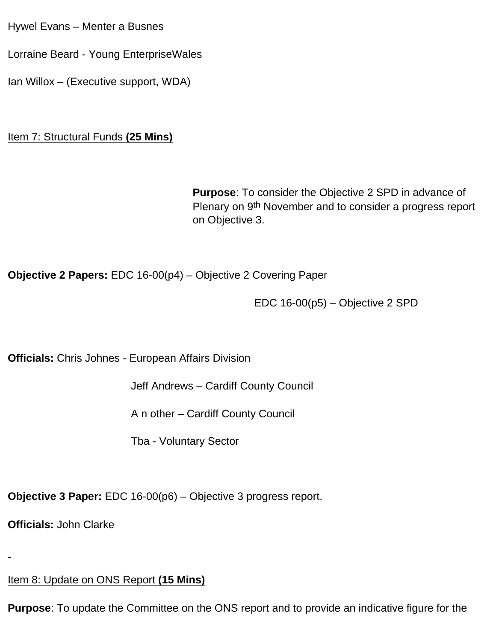Hywel Evans – Menter a Busnes

Lorraine Beard - Young EnterpriseWales

Ian Willox – (Executive support, WDA)

**Item 7: Structural Funds (25 Mins)** 

**Purpose**: To consider the Objective 2 SPD in advance of Plenary on 9th November and to consider a progress report on Objective 3.

**Objective 2 Papers:** EDC 16-00(p4) – Objective 2 Covering Paper

EDC 16-00(p5) – Objective 2 SPD

**Officials:** Chris Johnes - European Affairs Division

Jeff Andrews – Cardiff County Council

A n other – Cardiff County Council

Tba - Voluntary Sector

**Objective 3 Paper:** EDC 16-00(p6) – Objective 3 progress report.

**Officials:** John Clarke

Item 8: Update on ONS Report **(15 Mins)**

**Purpose**: To update the Committee on the ONS report and to provide an indicative figure for the